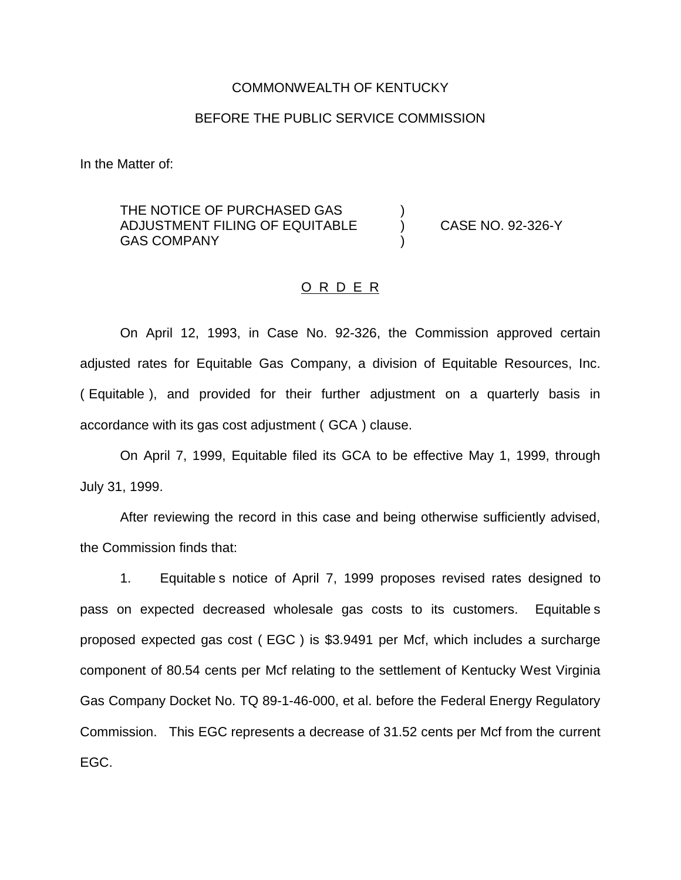#### COMMONWEALTH OF KENTUCKY

### BEFORE THE PUBLIC SERVICE COMMISSION

In the Matter of:

THE NOTICE OF PURCHASED GAS ADJUSTMENT FILING OF EQUITABLE ) CASE NO. 92-326-Y **GAS COMPANY** 

#### O R D E R

On April 12, 1993, in Case No. 92-326, the Commission approved certain adjusted rates for Equitable Gas Company, a division of Equitable Resources, Inc. ( Equitable ), and provided for their further adjustment on a quarterly basis in accordance with its gas cost adjustment ( GCA ) clause.

On April 7, 1999, Equitable filed its GCA to be effective May 1, 1999, through July 31, 1999.

After reviewing the record in this case and being otherwise sufficiently advised, the Commission finds that:

1. Equitable s notice of April 7, 1999 proposes revised rates designed to pass on expected decreased wholesale gas costs to its customers. Equitable s proposed expected gas cost ( EGC ) is \$3.9491 per Mcf, which includes a surcharge component of 80.54 cents per Mcf relating to the settlement of Kentucky West Virginia Gas Company Docket No. TQ 89-1-46-000, et al. before the Federal Energy Regulatory Commission. This EGC represents a decrease of 31.52 cents per Mcf from the current EGC.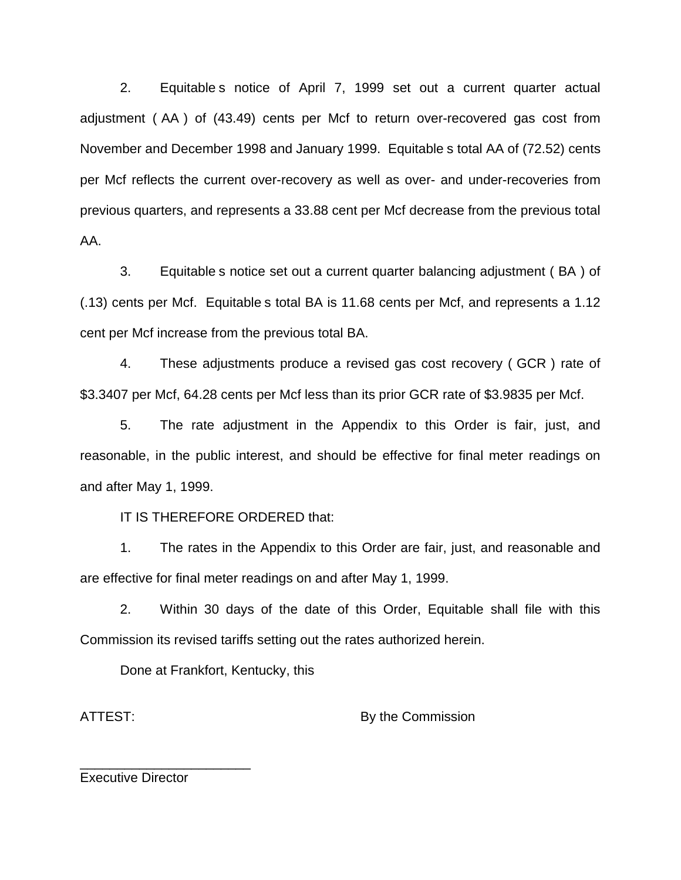2. Equitable s notice of April 7, 1999 set out a current quarter actual adjustment ( AA ) of (43.49) cents per Mcf to return over-recovered gas cost from November and December 1998 and January 1999. Equitable s total AA of (72.52) cents per Mcf reflects the current over-recovery as well as over- and under-recoveries from previous quarters, and represents a 33.88 cent per Mcf decrease from the previous total AA.

3. Equitable s notice set out a current quarter balancing adjustment ( BA ) of (.13) cents per Mcf. Equitable s total BA is 11.68 cents per Mcf, and represents a 1.12 cent per Mcf increase from the previous total BA.

4. These adjustments produce a revised gas cost recovery ( GCR ) rate of \$3.3407 per Mcf, 64.28 cents per Mcf less than its prior GCR rate of \$3.9835 per Mcf.

5. The rate adjustment in the Appendix to this Order is fair, just, and reasonable, in the public interest, and should be effective for final meter readings on and after May 1, 1999.

IT IS THEREFORE ORDERED that:

1. The rates in the Appendix to this Order are fair, just, and reasonable and are effective for final meter readings on and after May 1, 1999.

2. Within 30 days of the date of this Order, Equitable shall file with this Commission its revised tariffs setting out the rates authorized herein.

Done at Frankfort, Kentucky, this

ATTEST: By the Commission

Executive Director

\_\_\_\_\_\_\_\_\_\_\_\_\_\_\_\_\_\_\_\_\_\_\_